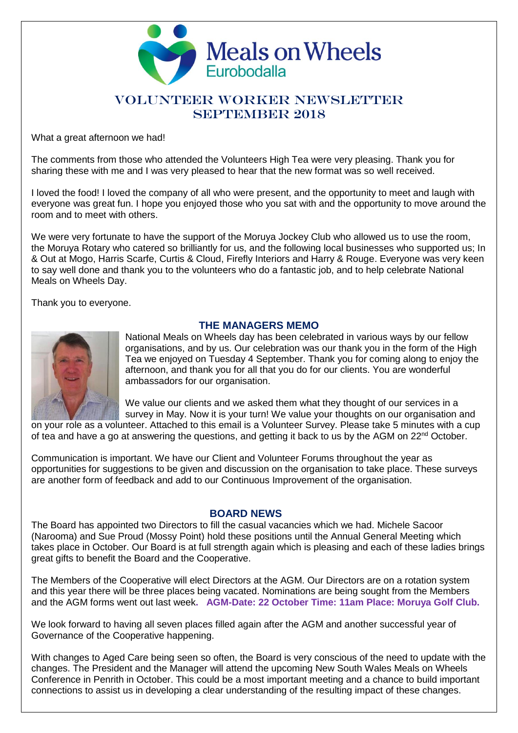

## VOLUNTEER WORKER NEWSLETTER SEPTEMBER 2018

What a great afternoon we had!

The comments from those who attended the Volunteers High Tea were very pleasing. Thank you for sharing these with me and I was very pleased to hear that the new format was so well received.

I loved the food! I loved the company of all who were present, and the opportunity to meet and laugh with everyone was great fun. I hope you enjoyed those who you sat with and the opportunity to move around the room and to meet with others.

We were very fortunate to have the support of the Moruya Jockey Club who allowed us to use the room, the Moruya Rotary who catered so brilliantly for us, and the following local businesses who supported us; In & Out at Mogo, Harris Scarfe, Curtis & Cloud, Firefly Interiors and Harry & Rouge. Everyone was very keen to say well done and thank you to the volunteers who do a fantastic job, and to help celebrate National Meals on Wheels Day.

Thank you to everyone.



## **THE MANAGERS MEMO**

National Meals on Wheels day has been celebrated in various ways by our fellow organisations, and by us. Our celebration was our thank you in the form of the High Tea we enjoyed on Tuesday 4 September. Thank you for coming along to enjoy the afternoon, and thank you for all that you do for our clients. You are wonderful ambassadors for our organisation.

We value our clients and we asked them what they thought of our services in a survey in May. Now it is your turn! We value your thoughts on our organisation and

on your role as a volunteer. Attached to this email is a Volunteer Survey. Please take 5 minutes with a cup of tea and have a go at answering the questions, and getting it back to us by the AGM on 22<sup>nd</sup> October.

Communication is important. We have our Client and Volunteer Forums throughout the year as opportunities for suggestions to be given and discussion on the organisation to take place. These surveys are another form of feedback and add to our Continuous Improvement of the organisation.

#### **BOARD NEWS**

The Board has appointed two Directors to fill the casual vacancies which we had. Michele Sacoor (Narooma) and Sue Proud (Mossy Point) hold these positions until the Annual General Meeting which takes place in October. Our Board is at full strength again which is pleasing and each of these ladies brings great gifts to benefit the Board and the Cooperative.

The Members of the Cooperative will elect Directors at the AGM. Our Directors are on a rotation system and this year there will be three places being vacated. Nominations are being sought from the Members and the AGM forms went out last week**. AGM-Date: 22 October Time: 11am Place: Moruya Golf Club.**

We look forward to having all seven places filled again after the AGM and another successful year of Governance of the Cooperative happening.

With changes to Aged Care being seen so often, the Board is very conscious of the need to update with the changes. The President and the Manager will attend the upcoming New South Wales Meals on Wheels Conference in Penrith in October. This could be a most important meeting and a chance to build important connections to assist us in developing a clear understanding of the resulting impact of these changes.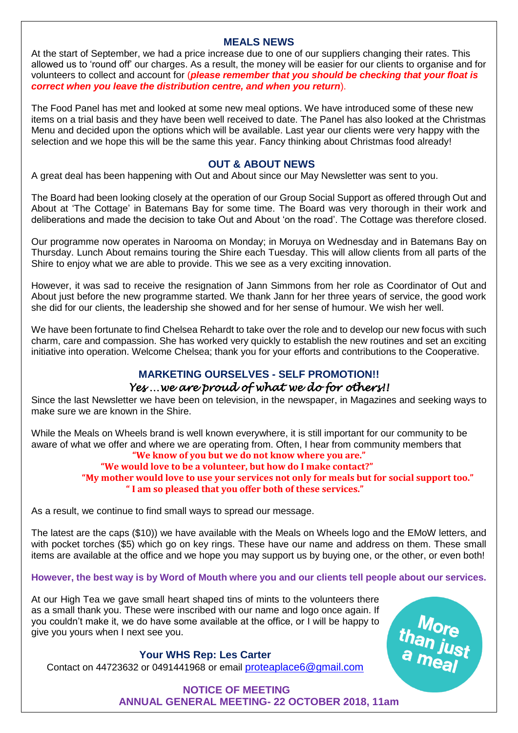## **MEALS NEWS**

At the start of September, we had a price increase due to one of our suppliers changing their rates. This allowed us to 'round off' our charges. As a result, the money will be easier for our clients to organise and for volunteers to collect and account for (*please remember that you should be checking that your float is correct when you leave the distribution centre, and when you return*).

The Food Panel has met and looked at some new meal options. We have introduced some of these new items on a trial basis and they have been well received to date. The Panel has also looked at the Christmas Menu and decided upon the options which will be available. Last year our clients were very happy with the selection and we hope this will be the same this year. Fancy thinking about Christmas food already!

## **OUT & ABOUT NEWS**

A great deal has been happening with Out and About since our May Newsletter was sent to you.

The Board had been looking closely at the operation of our Group Social Support as offered through Out and About at 'The Cottage' in Batemans Bay for some time. The Board was very thorough in their work and deliberations and made the decision to take Out and About 'on the road'. The Cottage was therefore closed.

Our programme now operates in Narooma on Monday; in Moruya on Wednesday and in Batemans Bay on Thursday. Lunch About remains touring the Shire each Tuesday. This will allow clients from all parts of the Shire to enjoy what we are able to provide. This we see as a very exciting innovation.

However, it was sad to receive the resignation of Jann Simmons from her role as Coordinator of Out and About just before the new programme started. We thank Jann for her three years of service, the good work she did for our clients, the leadership she showed and for her sense of humour. We wish her well.

We have been fortunate to find Chelsea Rehardt to take over the role and to develop our new focus with such charm, care and compassion. She has worked very quickly to establish the new routines and set an exciting initiative into operation. Welcome Chelsea; thank you for your efforts and contributions to the Cooperative.

# **MARKETING OURSELVES - SELF PROMOTION!!** *Yes …we are proud of what we do for others!!*

Since the last Newsletter we have been on television, in the newspaper, in Magazines and seeking ways to make sure we are known in the Shire.

While the Meals on Wheels brand is well known everywhere, it is still important for our community to be aware of what we offer and where we are operating from. Often, I hear from community members that

# **"We know of you but we do not know where you are."**

#### **"We would love to be a volunteer, but how do I make contact?" "My mother would love to use your services not only for meals but for social support too." " I am so pleased that you offer both of these services."**

As a result, we continue to find small ways to spread our message.

The latest are the caps (\$10)) we have available with the Meals on Wheels logo and the EMoW letters, and with pocket torches (\$5) which go on key rings. These have our name and address on them. These small items are available at the office and we hope you may support us by buying one, or the other, or even both!

## **However, the best way is by Word of Mouth where you and our clients tell people about our services.**

At our High Tea we gave small heart shaped tins of mints to the volunteers there as a small thank you. These were inscribed with our name and logo once again. If you couldn't make it, we do have some available at the office, or I will be happy to give you yours when I next see you.

than just<br>a meal

## **Your WHS Rep: Les Carter**

Contact on 44723632 or 0491441968 or email **[proteaplace6@gmail.com](mailto:proteaplace6@gmail.com)** 

**NOTICE OF MEETING ANNUAL GENERAL MEETING- 22 OCTOBER 2018, 11am**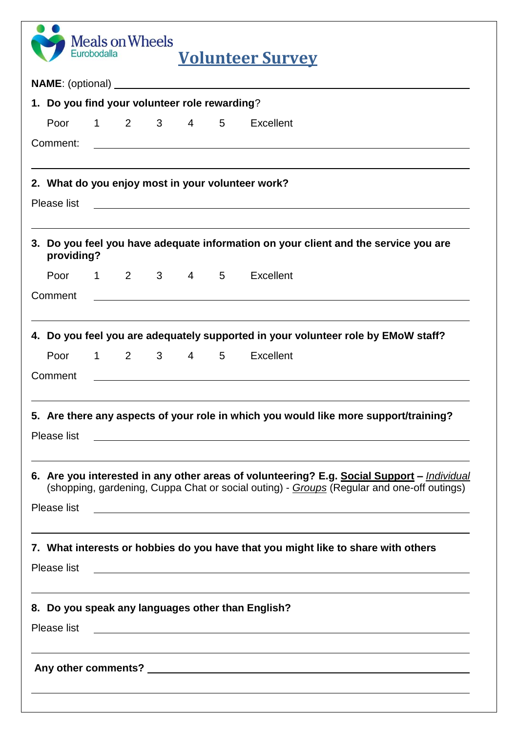| <b>Meals on Wheels</b><br>Eurobodalla<br><b>Volunteer Survey</b> |             |  |  |  |  |  |                                                                                                                                                                                                                                      |
|------------------------------------------------------------------|-------------|--|--|--|--|--|--------------------------------------------------------------------------------------------------------------------------------------------------------------------------------------------------------------------------------------|
|                                                                  |             |  |  |  |  |  |                                                                                                                                                                                                                                      |
| 1. Do you find your volunteer role rewarding?                    |             |  |  |  |  |  |                                                                                                                                                                                                                                      |
|                                                                  | Poor        |  |  |  |  |  | 1 2 3 4 5 Excellent                                                                                                                                                                                                                  |
|                                                                  | Comment:    |  |  |  |  |  | <u> 1989 - Johann Stoff, amerikansk politiker (* 1908)</u>                                                                                                                                                                           |
|                                                                  |             |  |  |  |  |  | 2. What do you enjoy most in your volunteer work?                                                                                                                                                                                    |
|                                                                  | Please list |  |  |  |  |  | <u> 1989 - Johann Stoff, deutscher Stoffen und der Stoffen und der Stoffen und der Stoffen und der Stoffen und der Stoffen und der Stoffen und der Stoffen und der Stoffen und der Stoffen und der Stoffen und der Stoffen und d</u> |
|                                                                  | providing?  |  |  |  |  |  | 3. Do you feel you have adequate information on your client and the service you are                                                                                                                                                  |
|                                                                  | Poor        |  |  |  |  |  | 1 2 3 4 5 Excellent                                                                                                                                                                                                                  |
|                                                                  | Comment     |  |  |  |  |  |                                                                                                                                                                                                                                      |
|                                                                  |             |  |  |  |  |  | 4. Do you feel you are adequately supported in your volunteer role by EMoW staff?                                                                                                                                                    |
|                                                                  | Poor        |  |  |  |  |  | 1 2 3 4 5 Excellent                                                                                                                                                                                                                  |
|                                                                  | Comment     |  |  |  |  |  | <u> 1989 - Johann John Stone, meil in der Stone in der Stone in der Stone in der Stone in der Stone in der Stone i</u>                                                                                                               |
|                                                                  |             |  |  |  |  |  | 5. Are there any aspects of your role in which you would like more support/training?                                                                                                                                                 |
|                                                                  | Please list |  |  |  |  |  | <u> 1989 - Johann Harry Harry Harry Harry Harry Harry Harry Harry Harry Harry Harry Harry Harry Harry Harry Harry</u>                                                                                                                |
|                                                                  |             |  |  |  |  |  | 6. Are you interested in any other areas of volunteering? E.g. Social Support - Individual<br>(shopping, gardening, Cuppa Chat or social outing) - Groups (Regular and one-off outings)                                              |
|                                                                  | Please list |  |  |  |  |  | <u> 1989 - Johann Stoff, deutscher Stoffen und der Stoffen und der Stoffen und der Stoffen und der Stoffen und der</u>                                                                                                               |
|                                                                  | Please list |  |  |  |  |  | 7. What interests or hobbies do you have that you might like to share with others<br><u> 1989 - Andrea San Andrea San Andrea San Andrea San Andrea San Andrea San Andrea San Andrea San Andrea San An</u>                            |
|                                                                  | Please list |  |  |  |  |  | 8. Do you speak any languages other than English?<br>and the control of the control of the control of the control of the control of the control of the control of the                                                                |
|                                                                  |             |  |  |  |  |  | ,我们也不会有什么。""我们的人,我们也不会有什么?""我们的人,我们也不会有什么?""我们的人,我们也不会有什么?""我们的人,我们也不会有什么?""我们的人                                                                                                                                                     |